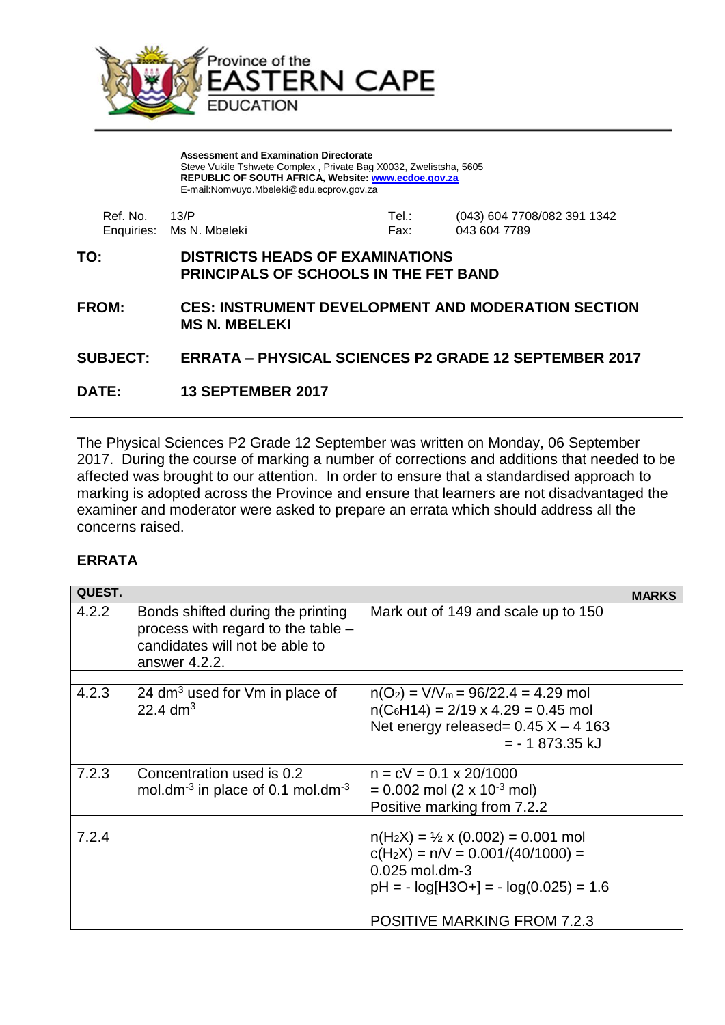

**Assessment and Examination Directorate** Steve Vukile Tshwete Complex , Private Bag X0032, Zwelistsha, 5605 **REPUBLIC OF SOUTH AFRICA, Website: [www.ecdoe.gov.za](http://www.ecdoe.gov.za/)** E-mail:Nomvuyo.Mbeleki@edu.ecprov.gov.za

| Ref. No. 43/P |                          | Tel.: | (043) 604 7708/082 391 1342 |
|---------------|--------------------------|-------|-----------------------------|
|               | Enquiries: Ms N. Mbeleki | Fax:  | 043 604 7789                |

## **TO: DISTRICTS HEADS OF EXAMINATIONS PRINCIPALS OF SCHOOLS IN THE FET BAND**

**FROM: CES: INSTRUMENT DEVELOPMENT AND MODERATION SECTION MS N. MBELEKI**

## **SUBJECT: ERRATA – PHYSICAL SCIENCES P2 GRADE 12 SEPTEMBER 2017**

**DATE: 13 SEPTEMBER 2017**

The Physical Sciences P2 Grade 12 September was written on Monday, 06 September 2017. During the course of marking a number of corrections and additions that needed to be affected was brought to our attention. In order to ensure that a standardised approach to marking is adopted across the Province and ensure that learners are not disadvantaged the examiner and moderator were asked to prepare an errata which should address all the concerns raised.

## **ERRATA**

| <b>QUEST.</b> |                                                                                                                              |                                                                                                                                                                                            | <b>MARKS</b> |
|---------------|------------------------------------------------------------------------------------------------------------------------------|--------------------------------------------------------------------------------------------------------------------------------------------------------------------------------------------|--------------|
| 4.2.2         | Bonds shifted during the printing<br>process with regard to the table $-$<br>candidates will not be able to<br>answer 4.2.2. | Mark out of 149 and scale up to 150                                                                                                                                                        |              |
| 4.2.3         | 24 $dm3$ used for $Vm$ in place of<br>22.4 $dm^{3}$                                                                          | $n(O_2) = V/V_m = 96/22.4 = 4.29$ mol<br>$n(C_6H14) = 2/19 \times 4.29 = 0.45$ mol<br>Net energy released= $0.45$ X - 4 163<br>$= -1873.35$ kJ                                             |              |
| 7.2.3         | Concentration used is 0.2<br>mol.dm <sup>-3</sup> in place of 0.1 mol.dm <sup>-3</sup>                                       | $n = cV = 0.1 \times 20/1000$<br>$= 0.002$ mol (2 x 10 <sup>-3</sup> mol)<br>Positive marking from 7.2.2                                                                                   |              |
| 7.2.4         |                                                                                                                              | $n(H_2X) = \frac{1}{2} \times (0.002) = 0.001$ mol<br>$c(H_2X) = n/V = 0.001/(40/1000) =$<br>0.025 mol.dm-3<br>$pH = -log[H3O+] = -log(0.025) = 1.6$<br><b>POSITIVE MARKING FROM 7.2.3</b> |              |